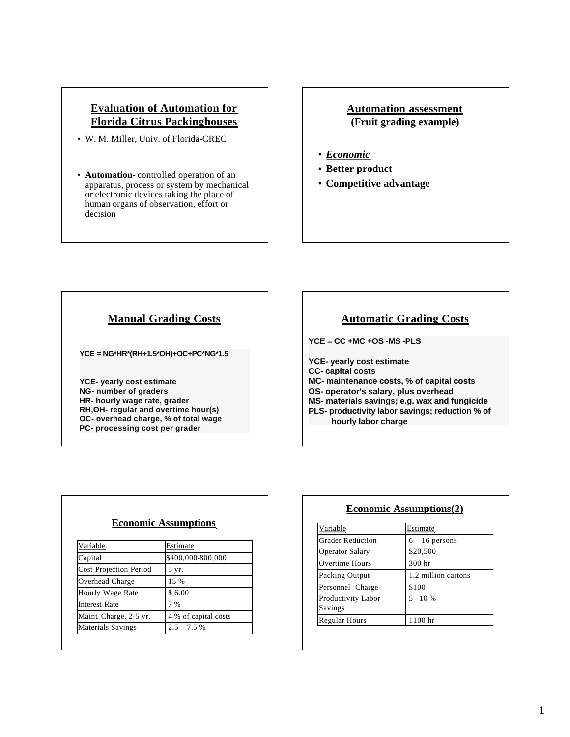# **Evaluation of Automation for Florida Citrus Packinghouses**

- W. M. Miller, Univ. of Florida-CREC
- **Automation** controlled operation of an apparatus, process or system by mechanical or electronic devices taking the place of human organs of observation, effort or decision

#### **Automation assessment (Fruit grading example)**

- *Economic*
- **Better product**
- **Competitive advantage**

# **Manual Grading Costs**

**YCE = NG\*HR\*(RH+1.5\*OH)+OC+PC\*NG\*1.5**

**YCE- yearly cost estimate NG- number of graders HR- hourly wage rate, grader RH,OH- regular and overtime hour(s) OC- overhead charge, % of total wage PC- processing cost per grader**

# **Automatic Grading Costs**

**YCE = CC +MC +OS -MS -PLS**

**YCE- yearly cost estimate CC- capital costs MC- maintenance costs, % of capital costs OS- operator's salary, plus overhead MS- materials savings; e.g. wax and fungicide PLS- productivity labor savings; reduction % of hourly labor charge**

| <b>Economic Assumptions</b>   |                      |
|-------------------------------|----------------------|
| <u>Variable</u>               | Estimate             |
| Capital                       | \$400,000-800,000    |
| <b>Cost Projection Period</b> | 5 yr.                |
| Overhead Charge               | 15 %                 |
| Hourly Wage Rate              | \$6.00               |
| <b>Interest Rate</b>          | 7 %                  |
| Maint. Charge, 2-5 yr.        | 4 % of capital costs |
| <b>Materials Savings</b>      | $2.5 - 7.5$ %        |

### **Economic Assumptions(2)**

| <u>Variable</u>         | <b>Estimate</b>     |
|-------------------------|---------------------|
| <b>Grader Reduction</b> | $6 - 16$ persons    |
| <b>Operator Salary</b>  | \$20,500            |
| Overtime Hours          | 300 hr              |
| Packing Output          | 1.2 million cartons |
| Personnel Charge        | \$100               |
| Productivity Labor      | $5 - 10 %$          |
| Savings                 |                     |
| <b>Regular Hours</b>    | 1100 hr             |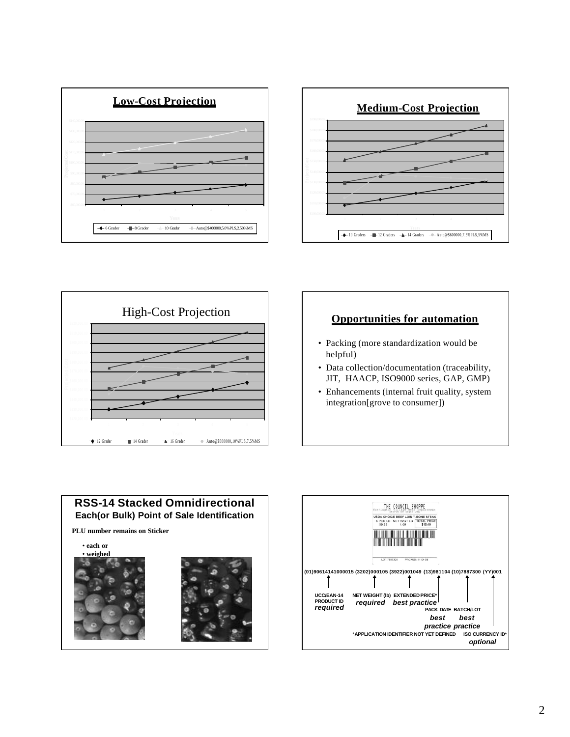





### **Opportunities for automation**

- Packing (more standardization would be helpful)
- Data collection/documentation (traceability, JIT, HAACP, ISO9000 series, GAP, GMP)
- Enhancements (internal fruit quality, system integration[grove to consumer])